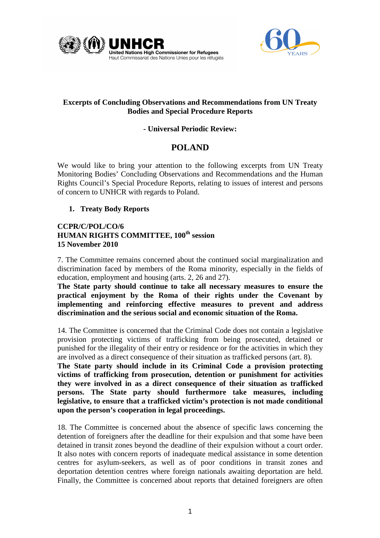



# **Excerpts of Concluding Observations and Recommendations from UN Treaty Bodies and Special Procedure Reports**

# **- Universal Periodic Review:**

# **POLAND**

We would like to bring your attention to the following excerpts from UN Treaty Monitoring Bodies' Concluding Observations and Recommendations and the Human Rights Council's Special Procedure Reports, relating to issues of interest and persons of concern to UNHCR with regards to Poland.

# **1. Treaty Body Reports**

# **CCPR/C/POL/CO/6 HUMAN RIGHTS COMMITTEE, 100th session 15 November 2010**

7. The Committee remains concerned about the continued social marginalization and discrimination faced by members of the Roma minority, especially in the fields of education, employment and housing (arts. 2, 26 and 27).

**The State party should continue to take all necessary measures to ensure the practical enjoyment by the Roma of their rights under the Covenant by implementing and reinforcing effective measures to prevent and address discrimination and the serious social and economic situation of the Roma.** 

14. The Committee is concerned that the Criminal Code does not contain a legislative provision protecting victims of trafficking from being prosecuted, detained or punished for the illegality of their entry or residence or for the activities in which they are involved as a direct consequence of their situation as trafficked persons (art. 8).

**The State party should include in its Criminal Code a provision protecting victims of trafficking from prosecution, detention or punishment for activities they were involved in as a direct consequence of their situation as trafficked persons. The State party should furthermore take measures, including legislative, to ensure that a trafficked victim's protection is not made conditional upon the person's cooperation in legal proceedings.**

18. The Committee is concerned about the absence of specific laws concerning the detention of foreigners after the deadline for their expulsion and that some have been detained in transit zones beyond the deadline of their expulsion without a court order. It also notes with concern reports of inadequate medical assistance in some detention centres for asylum-seekers, as well as of poor conditions in transit zones and deportation detention centres where foreign nationals awaiting deportation are held. Finally, the Committee is concerned about reports that detained foreigners are often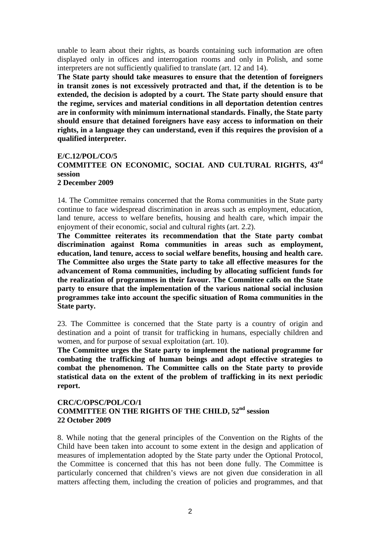unable to learn about their rights, as boards containing such information are often displayed only in offices and interrogation rooms and only in Polish, and some interpreters are not sufficiently qualified to translate (art. 12 and 14).

**The State party should take measures to ensure that the detention of foreigners in transit zones is not excessively protracted and that, if the detention is to be extended, the decision is adopted by a court. The State party should ensure that the regime, services and material conditions in all deportation detention centres are in conformity with minimum international standards. Finally, the State party should ensure that detained foreigners have easy access to information on their rights, in a language they can understand, even if this requires the provision of a qualified interpreter.** 

#### **E/C.12/POL/CO/5**

# **COMMITTEE ON ECONOMIC, SOCIAL AND CULTURAL RIGHTS, 43rd session**

#### **2 December 2009**

14. The Committee remains concerned that the Roma communities in the State party continue to face widespread discrimination in areas such as employment, education, land tenure, access to welfare benefits, housing and health care, which impair the enjoyment of their economic, social and cultural rights (art. 2.2).

**The Committee reiterates its recommendation that the State party combat discrimination against Roma communities in areas such as employment, education, land tenure, access to social welfare benefits, housing and health care. The Committee also urges the State party to take all effective measures for the advancement of Roma communities, including by allocating sufficient funds for the realization of programmes in their favour. The Committee calls on the State party to ensure that the implementation of the various national social inclusion programmes take into account the specific situation of Roma communities in the State party.**

23. The Committee is concerned that the State party is a country of origin and destination and a point of transit for trafficking in humans, especially children and women, and for purpose of sexual exploitation (art. 10).

**The Committee urges the State party to implement the national programme for combating the trafficking of human beings and adopt effective strategies to combat the phenomenon. The Committee calls on the State party to provide statistical data on the extent of the problem of trafficking in its next periodic report.** 

### **CRC/C/OPSC/POL/CO/1 COMMITTEE ON THE RIGHTS OF THE CHILD, 52nd session 22 October 2009**

8. While noting that the general principles of the Convention on the Rights of the Child have been taken into account to some extent in the design and application of measures of implementation adopted by the State party under the Optional Protocol, the Committee is concerned that this has not been done fully. The Committee is particularly concerned that children's views are not given due consideration in all matters affecting them, including the creation of policies and programmes, and that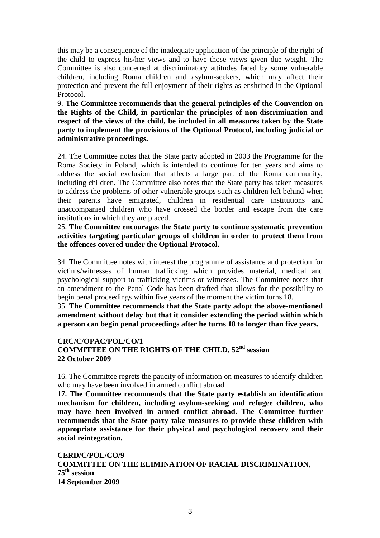this may be a consequence of the inadequate application of the principle of the right of the child to express his/her views and to have those views given due weight. The Committee is also concerned at discriminatory attitudes faced by some vulnerable children, including Roma children and asylum-seekers, which may affect their protection and prevent the full enjoyment of their rights as enshrined in the Optional Protocol.

9. **The Committee recommends that the general principles of the Convention on the Rights of the Child, in particular the principles of non-discrimination and respect of the views of the child, be included in all measures taken by the State party to implement the provisions of the Optional Protocol, including judicial or administrative proceedings.** 

24. The Committee notes that the State party adopted in 2003 the Programme for the Roma Society in Poland, which is intended to continue for ten years and aims to address the social exclusion that affects a large part of the Roma community, including children. The Committee also notes that the State party has taken measures to address the problems of other vulnerable groups such as children left behind when their parents have emigrated, children in residential care institutions and unaccompanied children who have crossed the border and escape from the care institutions in which they are placed.

25. **The Committee encourages the State party to continue systematic prevention activities targeting particular groups of children in order to protect them from the offences covered under the Optional Protocol.** 

34. The Committee notes with interest the programme of assistance and protection for victims/witnesses of human trafficking which provides material, medical and psychological support to trafficking victims or witnesses. The Committee notes that an amendment to the Penal Code has been drafted that allows for the possibility to begin penal proceedings within five years of the moment the victim turns 18.

35. **The Committee recommends that the State party adopt the above-mentioned amendment without delay but that it consider extending the period within which a person can begin penal proceedings after he turns 18 to longer than five years.** 

# **CRC/C/OPAC/POL/CO/1 COMMITTEE ON THE RIGHTS OF THE CHILD, 52nd session 22 October 2009**

16. The Committee regrets the paucity of information on measures to identify children who may have been involved in armed conflict abroad.

**17. The Committee recommends that the State party establish an identification mechanism for children, including asylum-seeking and refugee children, who may have been involved in armed conflict abroad. The Committee further recommends that the State party take measures to provide these children with appropriate assistance for their physical and psychological recovery and their social reintegration.** 

**CERD/C/POL/CO/9 COMMITTEE ON THE ELIMINATION OF RACIAL DISCRIMINATION, 75th session 14 September 2009**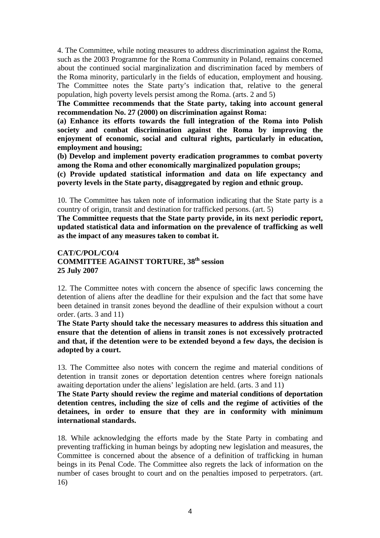4. The Committee, while noting measures to address discrimination against the Roma, such as the 2003 Programme for the Roma Community in Poland, remains concerned about the continued social marginalization and discrimination faced by members of the Roma minority, particularly in the fields of education, employment and housing. The Committee notes the State party's indication that, relative to the general population, high poverty levels persist among the Roma. (arts. 2 and 5)

**The Committee recommends that the State party, taking into account general recommendation No. 27 (2000) on discrimination against Roma:** 

**(a) Enhance its efforts towards the full integration of the Roma into Polish society and combat discrimination against the Roma by improving the enjoyment of economic, social and cultural rights, particularly in education, employment and housing;** 

**(b) Develop and implement poverty eradication programmes to combat poverty among the Roma and other economically marginalized population groups;** 

**(c) Provide updated statistical information and data on life expectancy and poverty levels in the State party, disaggregated by region and ethnic group.** 

10. The Committee has taken note of information indicating that the State party is a country of origin, transit and destination for trafficked persons. (art. 5)

**The Committee requests that the State party provide, in its next periodic report, updated statistical data and information on the prevalence of trafficking as well as the impact of any measures taken to combat it.** 

# **CAT/C/POL/CO/4 COMMITTEE AGAINST TORTURE, 38th session 25 July 2007**

12. The Committee notes with concern the absence of specific laws concerning the detention of aliens after the deadline for their expulsion and the fact that some have been detained in transit zones beyond the deadline of their expulsion without a court order. (arts. 3 and 11)

**The State Party should take the necessary measures to address this situation and ensure that the detention of aliens in transit zones is not excessively protracted and that, if the detention were to be extended beyond a few days, the decision is adopted by a court.** 

13. The Committee also notes with concern the regime and material conditions of detention in transit zones or deportation detention centres where foreign nationals awaiting deportation under the aliens' legislation are held. (arts. 3 and 11)

**The State Party should review the regime and material conditions of deportation detention centres, including the size of cells and the regime of activities of the detainees, in order to ensure that they are in conformity with minimum international standards.** 

18. While acknowledging the efforts made by the State Party in combating and preventing trafficking in human beings by adopting new legislation and measures, the Committee is concerned about the absence of a definition of trafficking in human beings in its Penal Code. The Committee also regrets the lack of information on the number of cases brought to court and on the penalties imposed to perpetrators. (art. 16)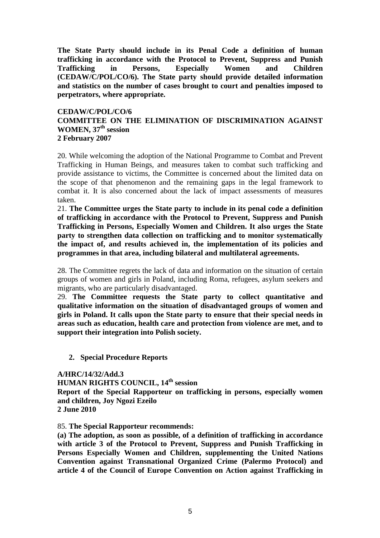**The State Party should include in its Penal Code a definition of human trafficking in accordance with the Protocol to Prevent, Suppress and Punish Trafficking in Persons, Especially Women and Children (CEDAW/C/POL/CO/6). The State party should provide detailed information and statistics on the number of cases brought to court and penalties imposed to perpetrators, where appropriate.** 

### **CEDAW/C/POL/CO/6 COMMITTEE ON THE ELIMINATION OF DISCRIMINATION AGAINST WOMEN, 37th session 2 February 2007**

20. While welcoming the adoption of the National Programme to Combat and Prevent Trafficking in Human Beings, and measures taken to combat such trafficking and provide assistance to victims, the Committee is concerned about the limited data on the scope of that phenomenon and the remaining gaps in the legal framework to combat it. It is also concerned about the lack of impact assessments of measures taken.

21. **The Committee urges the State party to include in its penal code a definition of trafficking in accordance with the Protocol to Prevent, Suppress and Punish Trafficking in Persons, Especially Women and Children. It also urges the State party to strengthen data collection on trafficking and to monitor systematically the impact of, and results achieved in, the implementation of its policies and programmes in that area, including bilateral and multilateral agreements.** 

28. The Committee regrets the lack of data and information on the situation of certain groups of women and girls in Poland, including Roma, refugees, asylum seekers and migrants, who are particularly disadvantaged.

29. **The Committee requests the State party to collect quantitative and qualitative information on the situation of disadvantaged groups of women and girls in Poland. It calls upon the State party to ensure that their special needs in areas such as education, health care and protection from violence are met, and to support their integration into Polish society.** 

**2. Special Procedure Reports** 

**A/HRC/14/32/Add.3 HUMAN RIGHTS COUNCIL, 14th session Report of the Special Rapporteur on trafficking in persons, especially women and children, Joy Ngozi Ezeilo 2 June 2010** 

#### 85. **The Special Rapporteur recommends:**

**(a) The adoption, as soon as possible, of a definition of trafficking in accordance with article 3 of the Protocol to Prevent, Suppress and Punish Trafficking in Persons Especially Women and Children, supplementing the United Nations Convention against Transnational Organized Crime (Palermo Protocol) and article 4 of the Council of Europe Convention on Action against Trafficking in**